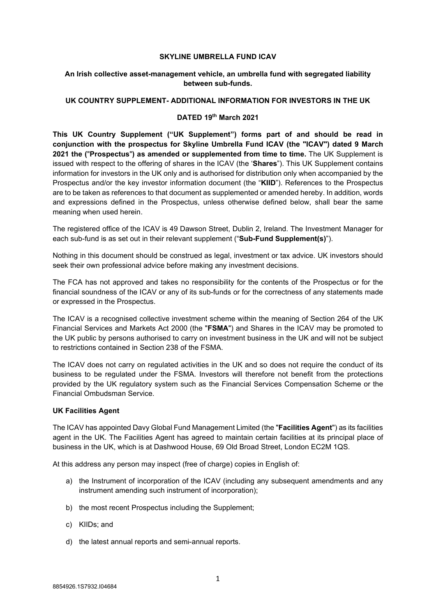#### **SKYLINE UMBRELLA FUND ICAV**

### **An Irish collective asset-management vehicle, an umbrella fund with segregated liability between sub-funds.**

### **UK COUNTRY SUPPLEMENT- ADDITIONAL INFORMATION FOR INVESTORS IN THE UK**

### **DATED 19 th March 2021**

**This UK Country Supplement ("UK Supplement") forms part of and should be read in conjunction with the prospectus for Skyline Umbrella Fund ICAV (the "ICAV") dated 9 March 2021 the (**"**Prospectus**"**) as amended or supplemented from time to time.** The UK Supplement is issued with respect to the offering of shares in the ICAV (the '**Shares**"). This UK Supplement contains information for investors in the UK only and is authorised for distribution only when accompanied by the Prospectus and/or the key investor information document (the "**KIID**"). References to the Prospectus are to be taken as references to that document as supplemented or amended hereby. In addition, words and expressions defined in the Prospectus, unless otherwise defined below, shall bear the same meaning when used herein.

The registered office of the ICAV is 49 Dawson Street, Dublin 2, Ireland. The Investment Manager for each sub-fund is as set out in their relevant supplement ("**Sub-Fund Supplement(s)**").

Nothing in this document should be construed as legal, investment or tax advice. UK investors should seek their own professional advice before making any investment decisions.

The FCA has not approved and takes no responsibility for the contents of the Prospectus or for the financial soundness of the ICAV or any of its sub-funds or for the correctness of any statements made or expressed in the Prospectus.

The ICAV is a recognised collective investment scheme within the meaning of Section 264 of the UK Financial Services and Markets Act 2000 (the "**FSMA**") and Shares in the ICAV may be promoted to the UK public by persons authorised to carry on investment business in the UK and will not be subject to restrictions contained in Section 238 of the FSMA.

The ICAV does not carry on regulated activities in the UK and so does not require the conduct of its business to be regulated under the FSMA. Investors will therefore not benefit from the protections provided by the UK regulatory system such as the Financial Services Compensation Scheme or the Financial Ombudsman Service.

## **UK Facilities Agent**

The ICAV has appointed Davy Global Fund Management Limited (the "**Facilities Agent**") as its facilities agent in the UK. The Facilities Agent has agreed to maintain certain facilities at its principal place of business in the UK, which is at Dashwood House, 69 Old Broad Street, London EC2M 1QS.

At this address any person may inspect (free of charge) copies in English of:

- a) the Instrument of incorporation of the ICAV (including any subsequent amendments and any instrument amending such instrument of incorporation);
- b) the most recent Prospectus including the Supplement;
- c) KIIDs; and
- d) the latest annual reports and semi-annual reports.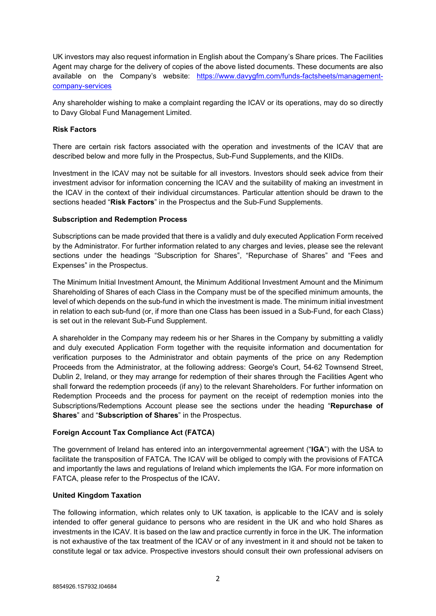UK investors may also request information in English about the Company's Share prices. The Facilities Agent may charge for the delivery of copies of the above listed documents. These documents are also available on the Company's website: https://www.davygfm.com/funds-factsheets/managementcompany-services

Any shareholder wishing to make a complaint regarding the ICAV or its operations, may do so directly to Davy Global Fund Management Limited.

## **Risk Factors**

There are certain risk factors associated with the operation and investments of the ICAV that are described below and more fully in the Prospectus, Sub-Fund Supplements, and the KIIDs.

Investment in the ICAV may not be suitable for all investors. Investors should seek advice from their investment advisor for information concerning the ICAV and the suitability of making an investment in the ICAV in the context of their individual circumstances. Particular attention should be drawn to the sections headed "**Risk Factors**" in the Prospectus and the Sub-Fund Supplements.

## **Subscription and Redemption Process**

Subscriptions can be made provided that there is a validly and duly executed Application Form received by the Administrator. For further information related to any charges and levies, please see the relevant sections under the headings "Subscription for Shares", "Repurchase of Shares" and "Fees and Expenses" in the Prospectus.

The Minimum Initial Investment Amount, the Minimum Additional Investment Amount and the Minimum Shareholding of Shares of each Class in the Company must be of the specified minimum amounts, the level of which depends on the sub-fund in which the investment is made. The minimum initial investment in relation to each sub-fund (or, if more than one Class has been issued in a Sub-Fund, for each Class) is set out in the relevant Sub-Fund Supplement.

A shareholder in the Company may redeem his or her Shares in the Company by submitting a validly and duly executed Application Form together with the requisite information and documentation for verification purposes to the Administrator and obtain payments of the price on any Redemption Proceeds from the Administrator, at the following address: George's Court, 54-62 Townsend Street, Dublin 2, Ireland, or they may arrange for redemption of their shares through the Facilities Agent who shall forward the redemption proceeds (if any) to the relevant Shareholders. For further information on Redemption Proceeds and the process for payment on the receipt of redemption monies into the Subscriptions/Redemptions Account please see the sections under the heading "**Repurchase of Shares**" and "**Subscription of Shares**" in the Prospectus.

# **Foreign Account Tax Compliance Act (FATCA)**

The government of Ireland has entered into an intergovernmental agreement ("**IGA**") with the USA to facilitate the transposition of FATCA. The ICAV will be obliged to comply with the provisions of FATCA and importantly the laws and regulations of Ireland which implements the IGA. For more information on FATCA, please refer to the Prospectus of the ICAV**.** 

## **United Kingdom Taxation**

The following information, which relates only to UK taxation, is applicable to the ICAV and is solely intended to offer general guidance to persons who are resident in the UK and who hold Shares as investments in the ICAV. It is based on the law and practice currently in force in the UK. The information is not exhaustive of the tax treatment of the ICAV or of any investment in it and should not be taken to constitute legal or tax advice. Prospective investors should consult their own professional advisers on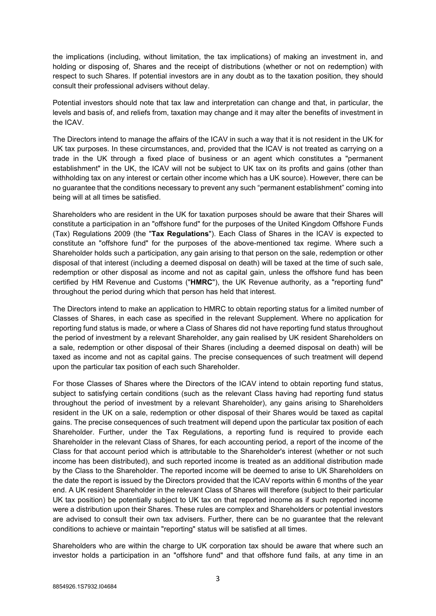the implications (including, without limitation, the tax implications) of making an investment in, and holding or disposing of, Shares and the receipt of distributions (whether or not on redemption) with respect to such Shares. If potential investors are in any doubt as to the taxation position, they should consult their professional advisers without delay.

Potential investors should note that tax law and interpretation can change and that, in particular, the levels and basis of, and reliefs from, taxation may change and it may alter the benefits of investment in the ICAV.

The Directors intend to manage the affairs of the ICAV in such a way that it is not resident in the UK for UK tax purposes. In these circumstances, and, provided that the ICAV is not treated as carrying on a trade in the UK through a fixed place of business or an agent which constitutes a "permanent establishment" in the UK, the ICAV will not be subject to UK tax on its profits and gains (other than withholding tax on any interest or certain other income which has a UK source). However, there can be no guarantee that the conditions necessary to prevent any such "permanent establishment" coming into being will at all times be satisfied.

Shareholders who are resident in the UK for taxation purposes should be aware that their Shares will constitute a participation in an "offshore fund" for the purposes of the United Kingdom Offshore Funds (Tax) Regulations 2009 (the "**Tax Regulations**"). Each Class of Shares in the ICAV is expected to constitute an "offshore fund" for the purposes of the above-mentioned tax regime. Where such a Shareholder holds such a participation, any gain arising to that person on the sale, redemption or other disposal of that interest (including a deemed disposal on death) will be taxed at the time of such sale, redemption or other disposal as income and not as capital gain, unless the offshore fund has been certified by HM Revenue and Customs ("**HMRC**"), the UK Revenue authority, as a "reporting fund" throughout the period during which that person has held that interest.

The Directors intend to make an application to HMRC to obtain reporting status for a limited number of Classes of Shares, in each case as specified in the relevant Supplement. Where no application for reporting fund status is made, or where a Class of Shares did not have reporting fund status throughout the period of investment by a relevant Shareholder, any gain realised by UK resident Shareholders on a sale, redemption or other disposal of their Shares (including a deemed disposal on death) will be taxed as income and not as capital gains. The precise consequences of such treatment will depend upon the particular tax position of each such Shareholder.

For those Classes of Shares where the Directors of the ICAV intend to obtain reporting fund status, subject to satisfying certain conditions (such as the relevant Class having had reporting fund status throughout the period of investment by a relevant Shareholder), any gains arising to Shareholders resident in the UK on a sale, redemption or other disposal of their Shares would be taxed as capital gains. The precise consequences of such treatment will depend upon the particular tax position of each Shareholder. Further, under the Tax Regulations, a reporting fund is required to provide each Shareholder in the relevant Class of Shares, for each accounting period, a report of the income of the Class for that account period which is attributable to the Shareholder's interest (whether or not such income has been distributed), and such reported income is treated as an additional distribution made by the Class to the Shareholder. The reported income will be deemed to arise to UK Shareholders on the date the report is issued by the Directors provided that the ICAV reports within 6 months of the year end. A UK resident Shareholder in the relevant Class of Shares will therefore (subject to their particular UK tax position) be potentially subject to UK tax on that reported income as if such reported income were a distribution upon their Shares. These rules are complex and Shareholders or potential investors are advised to consult their own tax advisers. Further, there can be no guarantee that the relevant conditions to achieve or maintain "reporting" status will be satisfied at all times.

Shareholders who are within the charge to UK corporation tax should be aware that where such an investor holds a participation in an "offshore fund" and that offshore fund fails, at any time in an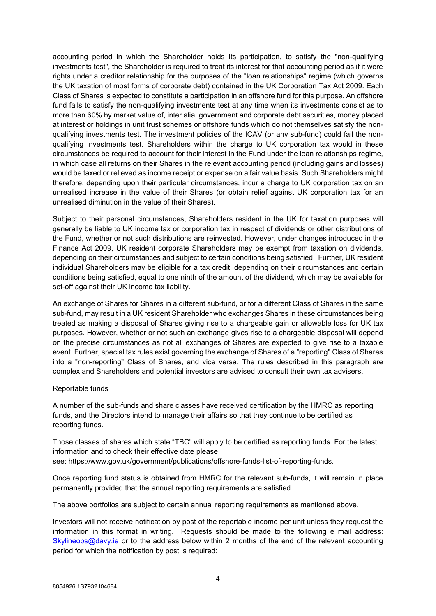accounting period in which the Shareholder holds its participation, to satisfy the "non-qualifying investments test", the Shareholder is required to treat its interest for that accounting period as if it were rights under a creditor relationship for the purposes of the "loan relationships" regime (which governs the UK taxation of most forms of corporate debt) contained in the UK Corporation Tax Act 2009. Each Class of Shares is expected to constitute a participation in an offshore fund for this purpose. An offshore fund fails to satisfy the non-qualifying investments test at any time when its investments consist as to more than 60% by market value of, inter alia, government and corporate debt securities, money placed at interest or holdings in unit trust schemes or offshore funds which do not themselves satisfy the nonqualifying investments test. The investment policies of the ICAV (or any sub-fund) could fail the nonqualifying investments test. Shareholders within the charge to UK corporation tax would in these circumstances be required to account for their interest in the Fund under the loan relationships regime, in which case all returns on their Shares in the relevant accounting period (including gains and losses) would be taxed or relieved as income receipt or expense on a fair value basis. Such Shareholders might therefore, depending upon their particular circumstances, incur a charge to UK corporation tax on an unrealised increase in the value of their Shares (or obtain relief against UK corporation tax for an unrealised diminution in the value of their Shares).

Subject to their personal circumstances, Shareholders resident in the UK for taxation purposes will generally be liable to UK income tax or corporation tax in respect of dividends or other distributions of the Fund, whether or not such distributions are reinvested. However, under changes introduced in the Finance Act 2009, UK resident corporate Shareholders may be exempt from taxation on dividends, depending on their circumstances and subject to certain conditions being satisfied. Further, UK resident individual Shareholders may be eligible for a tax credit, depending on their circumstances and certain conditions being satisfied, equal to one ninth of the amount of the dividend, which may be available for set-off against their UK income tax liability.

An exchange of Shares for Shares in a different sub-fund, or for a different Class of Shares in the same sub-fund, may result in a UK resident Shareholder who exchanges Shares in these circumstances being treated as making a disposal of Shares giving rise to a chargeable gain or allowable loss for UK tax purposes. However, whether or not such an exchange gives rise to a chargeable disposal will depend on the precise circumstances as not all exchanges of Shares are expected to give rise to a taxable event. Further, special tax rules exist governing the exchange of Shares of a "reporting" Class of Shares into a "non-reporting" Class of Shares, and vice versa. The rules described in this paragraph are complex and Shareholders and potential investors are advised to consult their own tax advisers.

## Reportable funds

A number of the sub-funds and share classes have received certification by the HMRC as reporting funds, and the Directors intend to manage their affairs so that they continue to be certified as reporting funds.

Those classes of shares which state "TBC" will apply to be certified as reporting funds. For the latest information and to check their effective date please see: https://www.gov.uk/government/publications/offshore-funds-list-of-reporting-funds.

Once reporting fund status is obtained from HMRC for the relevant sub-funds, it will remain in place permanently provided that the annual reporting requirements are satisfied.

The above portfolios are subject to certain annual reporting requirements as mentioned above.

Investors will not receive notification by post of the reportable income per unit unless they request the information in this format in writing. Requests should be made to the following e mail address: Skylineops@davy.ie or to the address below within 2 months of the end of the relevant accounting period for which the notification by post is required: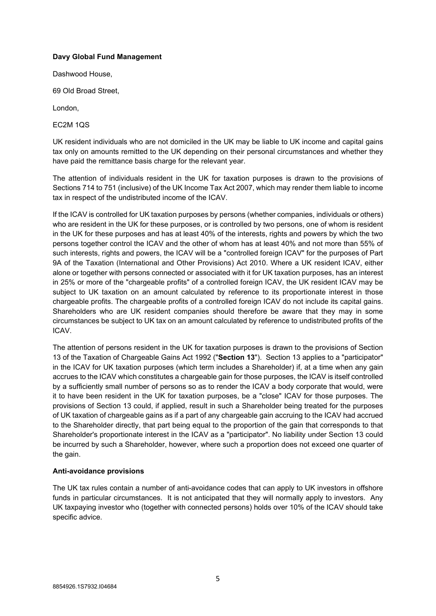## **Davy Global Fund Management**

Dashwood House,

69 Old Broad Street,

London,

EC2M 1QS

UK resident individuals who are not domiciled in the UK may be liable to UK income and capital gains tax only on amounts remitted to the UK depending on their personal circumstances and whether they have paid the remittance basis charge for the relevant year.

The attention of individuals resident in the UK for taxation purposes is drawn to the provisions of Sections 714 to 751 (inclusive) of the UK Income Tax Act 2007, which may render them liable to income tax in respect of the undistributed income of the ICAV.

If the ICAV is controlled for UK taxation purposes by persons (whether companies, individuals or others) who are resident in the UK for these purposes, or is controlled by two persons, one of whom is resident in the UK for these purposes and has at least 40% of the interests, rights and powers by which the two persons together control the ICAV and the other of whom has at least 40% and not more than 55% of such interests, rights and powers, the ICAV will be a "controlled foreign ICAV" for the purposes of Part 9A of the Taxation (International and Other Provisions) Act 2010. Where a UK resident ICAV, either alone or together with persons connected or associated with it for UK taxation purposes, has an interest in 25% or more of the "chargeable profits" of a controlled foreign ICAV, the UK resident ICAV may be subject to UK taxation on an amount calculated by reference to its proportionate interest in those chargeable profits. The chargeable profits of a controlled foreign ICAV do not include its capital gains. Shareholders who are UK resident companies should therefore be aware that they may in some circumstances be subject to UK tax on an amount calculated by reference to undistributed profits of the ICAV.

The attention of persons resident in the UK for taxation purposes is drawn to the provisions of Section 13 of the Taxation of Chargeable Gains Act 1992 ("**Section 13**"). Section 13 applies to a "participator" in the ICAV for UK taxation purposes (which term includes a Shareholder) if, at a time when any gain accrues to the ICAV which constitutes a chargeable gain for those purposes, the ICAV is itself controlled by a sufficiently small number of persons so as to render the ICAV a body corporate that would, were it to have been resident in the UK for taxation purposes, be a "close" ICAV for those purposes. The provisions of Section 13 could, if applied, result in such a Shareholder being treated for the purposes of UK taxation of chargeable gains as if a part of any chargeable gain accruing to the ICAV had accrued to the Shareholder directly, that part being equal to the proportion of the gain that corresponds to that Shareholder's proportionate interest in the ICAV as a "participator". No liability under Section 13 could be incurred by such a Shareholder, however, where such a proportion does not exceed one quarter of the gain.

# **Anti-avoidance provisions**

The UK tax rules contain a number of anti-avoidance codes that can apply to UK investors in offshore funds in particular circumstances. It is not anticipated that they will normally apply to investors. Any UK taxpaying investor who (together with connected persons) holds over 10% of the ICAV should take specific advice.